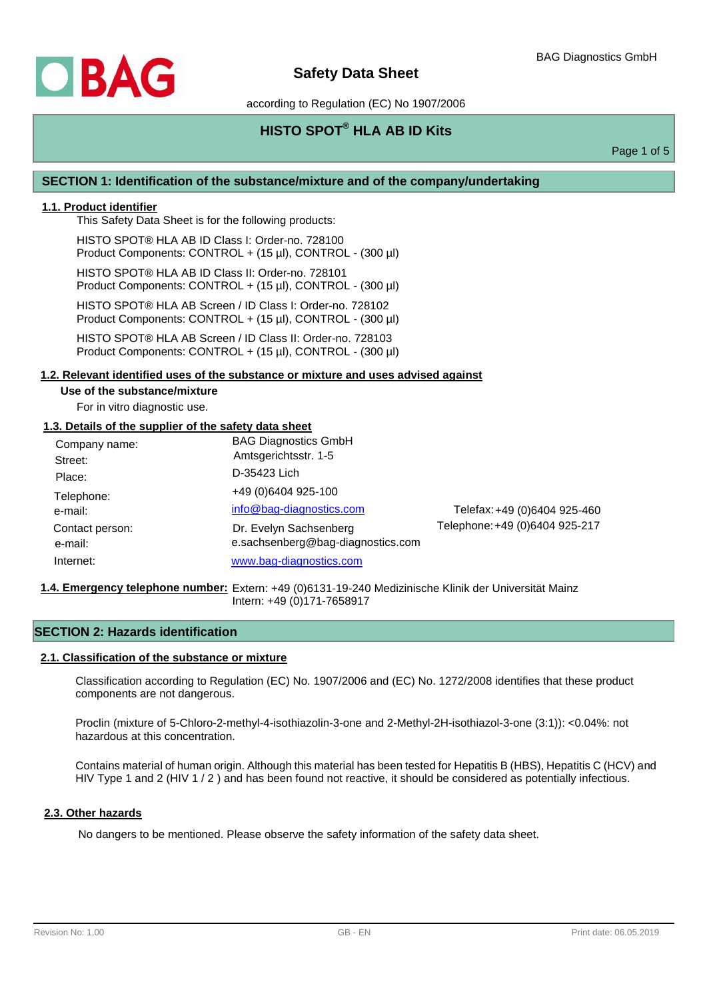

according to Regulation (EC) No 1907/2006

# **HISTO SPOT® HLA AB ID Kits**

Page 1 of 5

## **SECTION 1: Identification of the substance/mixture and of the company/undertaking**

## **1.1. Product identifier**

This Safety Data Sheet is for the following products:

HISTO SPOT® HLA AB ID Class I: Order-no. 728100 Product Components: CONTROL + (15 µl), CONTROL - (300 µl)

HISTO SPOT® HLA AB ID Class II: Order-no. 728101 Product Components: CONTROL + (15 µl), CONTROL - (300 µl)

HISTO SPOT® HLA AB Screen / ID Class I: Order-no. 728102 Product Components: CONTROL + (15 µl), CONTROL - (300 µl)

HISTO SPOT® HLA AB Screen / ID Class II: Order-no. 728103 Product Components: CONTROL + (15 µl), CONTROL - (300 µl)

### **1.2. Relevant identified uses of the substance or mixture and uses advised against**

#### **Use of the substance/mixture**

For in vitro diagnostic use.

### **1.3. Details of the supplier of the safety data sheet**

| Company name:<br>Street:<br>Place: | <b>BAG Diagnostics GmbH</b><br>Amtsgerichtsstr. 1-5<br>D-35423 Lich |                                |
|------------------------------------|---------------------------------------------------------------------|--------------------------------|
| Telephone:<br>e-mail:              | +49 (0)6404 925-100<br>info@bag-diagnostics.com                     | Telefax: +49 (0)6404 925-460   |
| Contact person:<br>e-mail:         | Dr. Evelyn Sachsenberg<br>e.sachsenberg@bag-diagnostics.com         | Telephone: +49 (0)6404 925-217 |
| Internet:                          | www.bag-diagnostics.com                                             |                                |

#### 1.4. Emergency telephone number: Extern: +49 (0)6131-19-240 Medizinische Klinik der Universität Mainz Intern: +49 (0)171-7658917

## **SECTION 2: Hazards identification**

#### **2.1. Classification of the substance or mixture**

Classification according to Regulation (EC) No. 1907/2006 and (EC) No. 1272/2008 identifies that these product components are not dangerous.

Proclin (mixture of 5-Chloro-2-methyl-4-isothiazolin-3-one and 2-Methyl-2H-isothiazol-3-one (3:1)): <0.04%: not hazardous at this concentration.

Contains material of human origin. Although this material has been tested for Hepatitis B (HBS), Hepatitis C (HCV) and HIV Type 1 and 2 (HIV 1/2) and has been found not reactive, it should be considered as potentially infectious.

## **2.3. Other hazards**

No dangers to be mentioned. Please observe the safety information of the safety data sheet.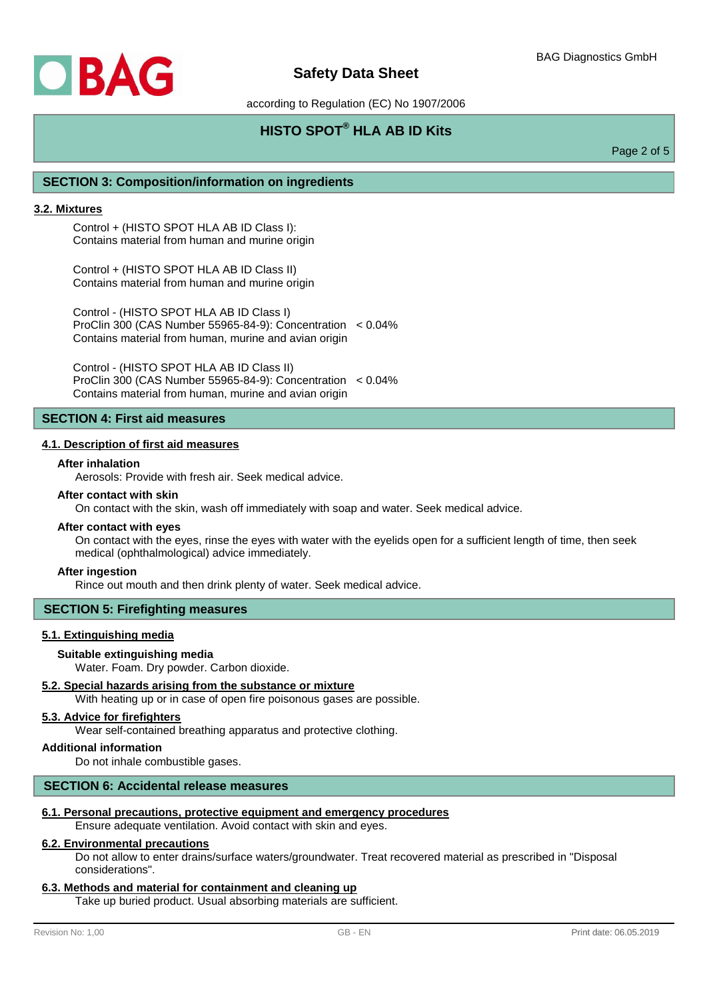

according to Regulation (EC) No 1907/2006

# **HISTO SPOT® HLA AB ID Kits**

Page 2 of 5

## **SECTION 3: Composition/information on ingredients**

#### **3.2. Mixtures**

Control + (HISTO SPOT HLA AB ID Class I): Contains material from human and murine origin

Control + (HISTO SPOT HLA AB ID Class II) Contains material from human and murine origin

Control - (HISTO SPOT HLA AB ID Class I) ProClin 300 (CAS Number 55965-84-9): Concentration < 0.04% Contains material from human, murine and avian origin

Control - (HISTO SPOT HLA AB ID Class II) ProClin 300 (CAS Number 55965-84-9): Concentration < 0.04% Contains material from human, murine and avian origin

## **SECTION 4: First aid measures**

## **4.1. Description of first aid measures**

### **After inhalation**

Aerosols: Provide with fresh air. Seek medical advice.

## **After contact with skin**

On contact with the skin, wash off immediately with soap and water. Seek medical advice.

#### **After contact with eyes**

On contact with the eyes, rinse the eyes with water with the eyelids open for a sufficient length of time, then seek medical (ophthalmological) advice immediately.

#### **After ingestion**

Rince out mouth and then drink plenty of water. Seek medical advice.

#### **SECTION 5: Firefighting measures**

### **5.1. Extinguishing media**

#### **Suitable extinguishing media**

Water. Foam. Dry powder. Carbon dioxide.

## **5.2. Special hazards arising from the substance or mixture**

With heating up or in case of open fire poisonous gases are possible.

## **5.3. Advice for firefighters**

Wear self-contained breathing apparatus and protective clothing.

## **Additional information**

Do not inhale combustible gases.

### **SECTION 6: Accidental release measures**

## **6.1. Personal precautions, protective equipment and emergency procedures**

Ensure adequate ventilation. Avoid contact with skin and eyes.

#### **6.2. Environmental precautions**

Do not allow to enter drains/surface waters/groundwater. Treat recovered material as prescribed in "Disposal considerations".

#### **6.3. Methods and material for containment and cleaning up**

Take up buried product. Usual absorbing materials are sufficient.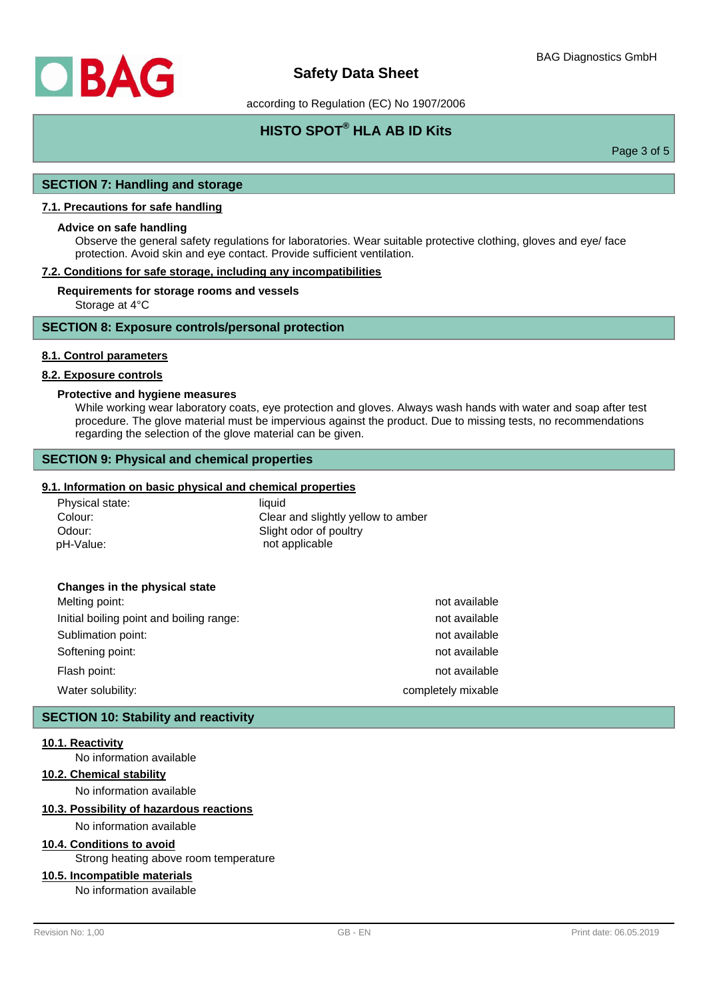

according to Regulation (EC) No 1907/2006

# **HISTO SPOT® HLA AB ID Kits**

Page 3 of 5

### **SECTION 7: Handling and storage**

## **7.1. Precautions for safe handling**

#### **Advice on safe handling**

Observe the general safety regulations for laboratories. Wear suitable protective clothing, gloves and eye/ face protection. Avoid skin and eye contact. Provide sufficient ventilation.

#### **7.2. Conditions for safe storage, including any incompatibilities**

#### **Requirements for storage rooms and vessels**

Storage at 4°C

### **SECTION 8: Exposure controls/personal protection**

#### **8.1. Control parameters**

#### **8.2. Exposure controls**

#### **Protective and hygiene measures**

While working wear laboratory coats, eye protection and gloves. Always wash hands with water and soap after test procedure. The glove material must be impervious against the product. Due to missing tests, no recommendations regarding the selection of the glove material can be given.

## **SECTION 9: Physical and chemical properties**

### **9.1. Information on basic physical and chemical properties**

| Physical state: | liauid                             |
|-----------------|------------------------------------|
| Colour:         | Clear and slightly yellow to amber |
| Odour:          | Slight odor of poultry             |
| pH-Value:       | not applicable                     |

#### **Changes in the physical state**

| Water solubility:                        | completely mixable |
|------------------------------------------|--------------------|
| Flash point:                             | not available      |
| Softening point:                         | not available      |
| Sublimation point:                       | not available      |
| Initial boiling point and boiling range: | not available      |
| Melting point:                           | not available      |

#### **SECTION 10: Stability and reactivity**

#### **10.1. Reactivity**

No information available

## **10.2. Chemical stability**

No information available

#### **10.3. Possibility of hazardous reactions**

No information available

#### **10.4. Conditions to avoid**

Strong heating above room temperature

## **10.5. Incompatible materials**

No information available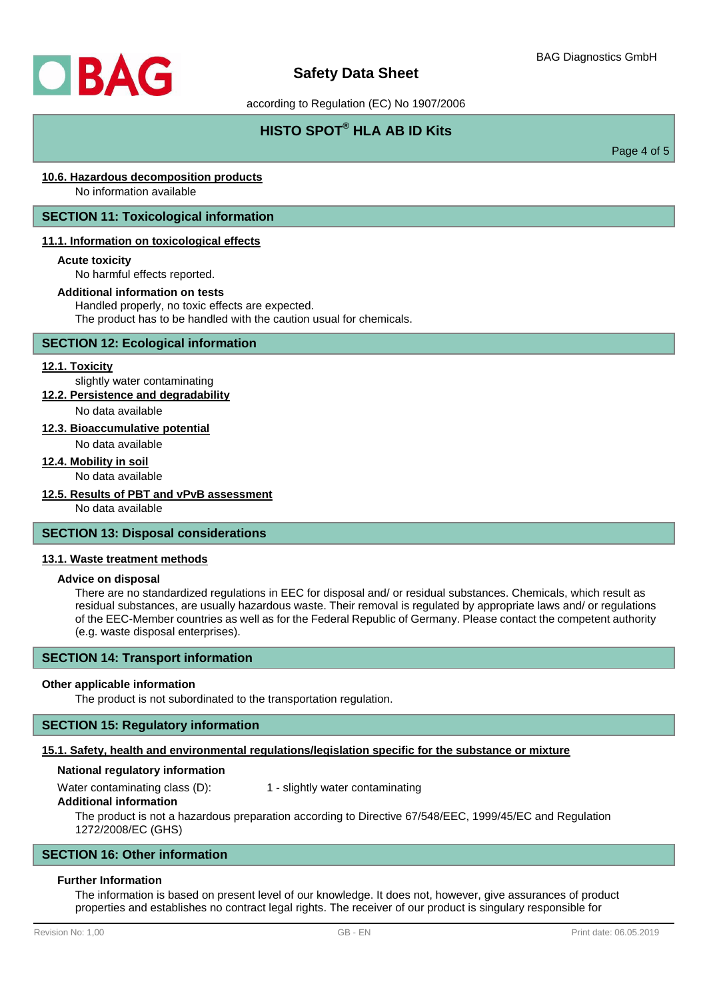

according to Regulation (EC) No 1907/2006

# **HISTO SPOT® HLA AB ID Kits**

Page 4 of 5

## **10.6. Hazardous decomposition products**

No information available

## **SECTION 11: Toxicological information**

#### **11.1. Information on toxicological effects**

#### **Acute toxicity**

No harmful effects reported.

#### **Additional information on tests**

Handled properly, no toxic effects are expected.

The product has to be handled with the caution usual for chemicals.

## **SECTION 12: Ecological information**

#### **12.1. Toxicity**

slightly water contaminating **12.2. Persistence and degradability**

No data available

# **12.3. Bioaccumulative potential**

No data available

# **12.4. Mobility in soil**

No data available

#### **12.5. Results of PBT and vPvB assessment**

No data available

## **SECTION 13: Disposal considerations**

#### **13.1. Waste treatment methods**

## **Advice on disposal**

There are no standardized regulations in EEC for disposal and/ or residual substances. Chemicals, which result as residual substances, are usually hazardous waste. Their removal is regulated by appropriate laws and/ or regulations of the EEC-Member countries as well as for the Federal Republic of Germany. Please contact the competent authority (e.g. waste disposal enterprises).

## **SECTION 14: Transport information**

#### **Other applicable information**

The product is not subordinated to the transportation regulation.

## **SECTION 15: Regulatory information**

### **15.1. Safety, health and environmental regulations/legislation specific for the substance or mixture**

#### **National regulatory information**

Water contaminating class (D): 1 - slightly water contaminating

#### **Additional information**

The product is not a hazardous preparation according to Directive 67/548/EEC, 1999/45/EC and Regulation 1272/2008/EC (GHS)

## **SECTION 16: Other information**

## **Further Information**

The information is based on present level of our knowledge. It does not, however, give assurances of product properties and establishes no contract legal rights. The receiver of our product is singulary responsible for